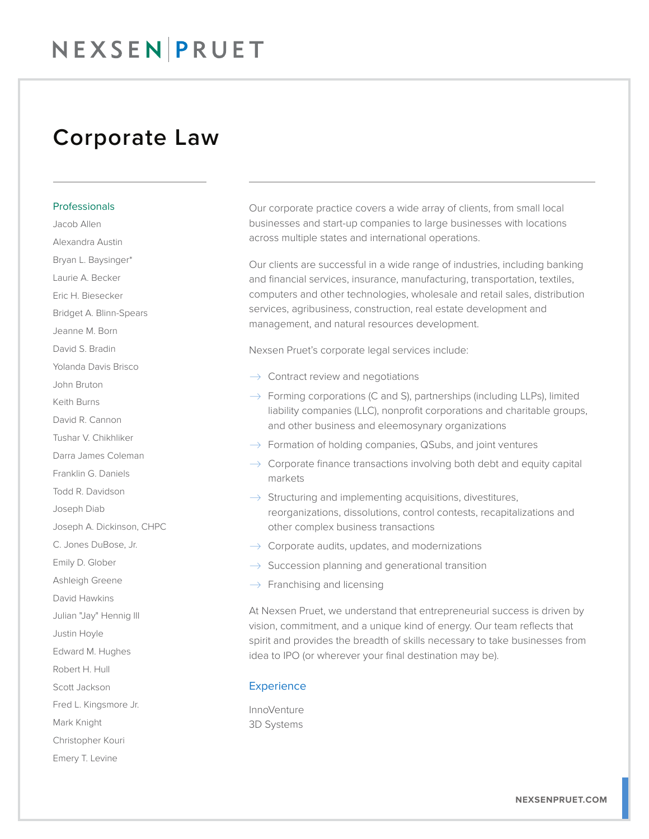### Corporate Law

Professionals Jacob Allen Alexandra Austin Bryan L. Baysinger\* Laurie A. Becker Eric H. Biesecker Bridget A. Blinn-Spears Jeanne M. Born David S. Bradin Yolanda Davis Brisco John Bruton Keith Burns David R. Cannon Tushar V. Chikhliker Darra James Coleman Franklin G. Daniels Todd R. Davidson Joseph Diab Joseph A. Dickinson, CHPC C. Jones DuBose, Jr. Emily D. Glober Ashleigh Greene David Hawkins Julian "Jay" Hennig III Justin Hoyle Edward M. Hughes Robert H. Hull Scott Jackson Fred L. Kingsmore Jr. Mark Knight Christopher Kouri Emery T. Levine

Our corporate practice covers a wide array of clients, from small local businesses and start-up companies to large businesses with locations across multiple states and international operations.

Our clients are successful in a wide range of industries, including banking and financial services, insurance, manufacturing, transportation, textiles, computers and other technologies, wholesale and retail sales, distribution services, agribusiness, construction, real estate development and management, and natural resources development.

Nexsen Pruet's corporate legal services include:

- $\rightarrow$  Contract review and negotiations
- $\rightarrow$  Forming corporations (C and S), partnerships (including LLPs), limited liability companies (LLC), nonprofit corporations and charitable groups, and other business and eleemosynary organizations
- $\rightarrow$  Formation of holding companies, QSubs, and joint ventures
- $\rightarrow$  Corporate finance transactions involving both debt and equity capital markets
- $\rightarrow$  Structuring and implementing acquisitions, divestitures, reorganizations, dissolutions, control contests, recapitalizations and other complex business transactions
- $\rightarrow$  Corporate audits, updates, and modernizations
- $\rightarrow$  Succession planning and generational transition
- $\rightarrow$  Franchising and licensing

At Nexsen Pruet, we understand that entrepreneurial success is driven by vision, commitment, and a unique kind of energy. Our team reflects that spirit and provides the breadth of skills necessary to take businesses from idea to IPO (or wherever your final destination may be).

#### **Experience**

**InnoVenture** 3D Systems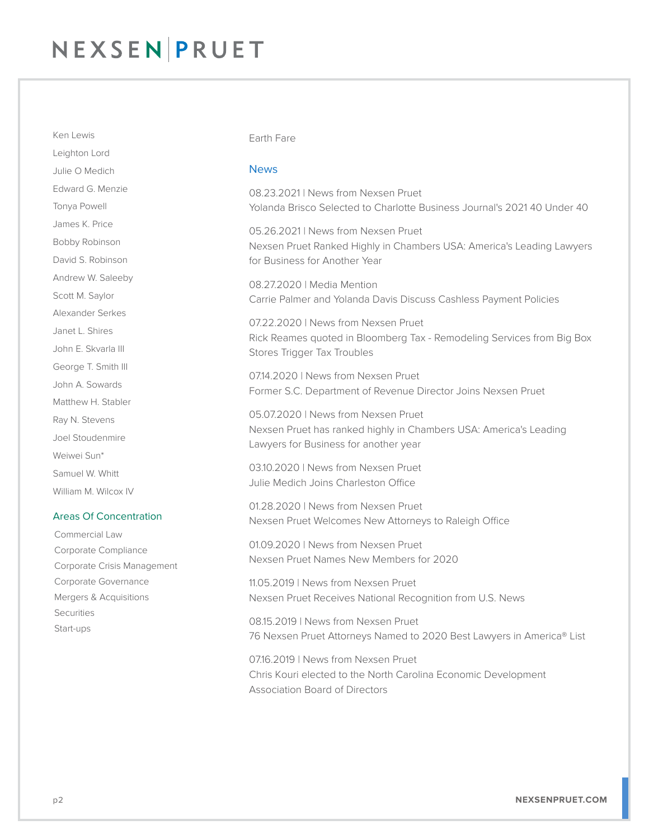Leighton Lord Julie O Medich Edward G. Menzie Tonya Powell James K. Price Bobby Robinson David S. Robinson Andrew W. Saleeby Scott M. Saylor Alexander Serkes Janet L. Shires John E. Skvarla III George T. Smith III John A. Sowards Matthew H. Stabler Ray N. Stevens Joel Stoudenmire Weiwei Sun\* Samuel W. Whitt William M. Wilcox IV

Ken Lewis

#### Areas Of Concentration

Commercial Law Corporate Compliance Corporate Crisis Management Corporate Governance Mergers & Acquisitions **Securities** Start-ups

#### Earth Fare

#### **News**

08.23.2021 | News from Nexsen Pruet Yolanda Brisco Selected to Charlotte Business Journal's 2021 40 Under 40

05.26.2021 | News from Nexsen Pruet Nexsen Pruet Ranked Highly in Chambers USA: America's Leading Lawyers for Business for Another Year

08.27.2020 | Media Mention Carrie Palmer and Yolanda Davis Discuss Cashless Payment Policies

07.22.2020 | News from Nexsen Pruet Rick Reames quoted in Bloomberg Tax - Remodeling Services from Big Box Stores Trigger Tax Troubles

07.14.2020 | News from Nexsen Pruet Former S.C. Department of Revenue Director Joins Nexsen Pruet

05.07.2020 | News from Nexsen Pruet Nexsen Pruet has ranked highly in Chambers USA: America's Leading Lawyers for Business for another year

03.10.2020 | News from Nexsen Pruet Julie Medich Joins Charleston Office

01.28.2020 | News from Nexsen Pruet Nexsen Pruet Welcomes New Attorneys to Raleigh Office

01.09.2020 | News from Nexsen Pruet Nexsen Pruet Names New Members for 2020

11.05.2019 | News from Nexsen Pruet Nexsen Pruet Receives National Recognition from U.S. News

08.15.2019 | News from Nexsen Pruet 76 Nexsen Pruet Attorneys Named to 2020 Best Lawyers in America® List

07.16.2019 | News from Nexsen Pruet Chris Kouri elected to the North Carolina Economic Development Association Board of Directors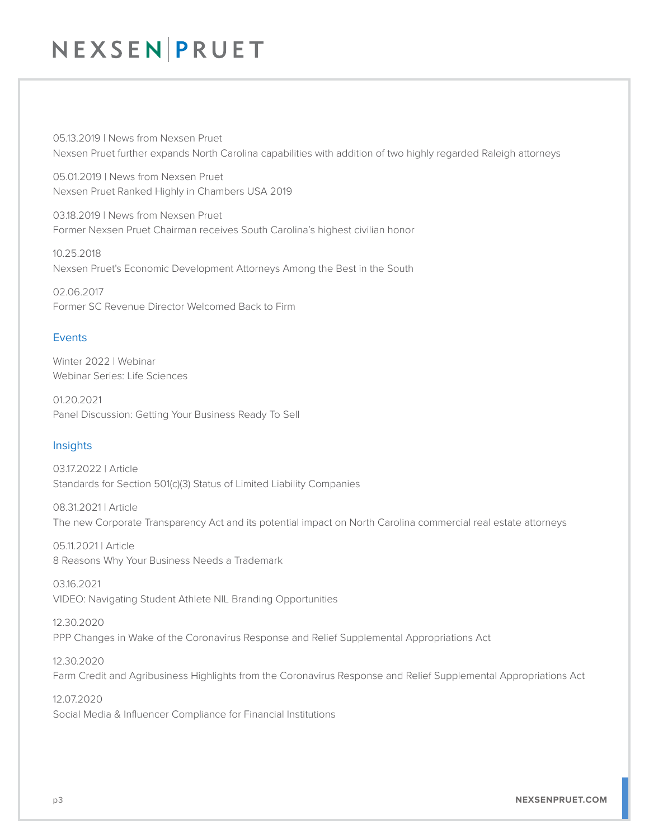05.13.2019 | News from Nexsen Pruet Nexsen Pruet further expands North Carolina capabilities with addition of two highly regarded Raleigh attorneys

05.01.2019 | News from Nexsen Pruet Nexsen Pruet Ranked Highly in Chambers USA 2019

03.18.2019 | News from Nexsen Pruet Former Nexsen Pruet Chairman receives South Carolina's highest civilian honor

10.25.2018 Nexsen Pruet's Economic Development Attorneys Among the Best in the South

02.06.2017 Former SC Revenue Director Welcomed Back to Firm

### Events

Winter 2022 | Webinar Webinar Series: Life Sciences

01.20.2021 Panel Discussion: Getting Your Business Ready To Sell

### Insights

03.17.2022 | Article Standards for Section 501(c)(3) Status of Limited Liability Companies

08.31.2021 | Article The new Corporate Transparency Act and its potential impact on North Carolina commercial real estate attorneys

05.11.2021 | Article 8 Reasons Why Your Business Needs a Trademark

03.16.2021 VIDEO: Navigating Student Athlete NIL Branding Opportunities

12.30.2020 PPP Changes in Wake of the Coronavirus Response and Relief Supplemental Appropriations Act

12.30.2020 Farm Credit and Agribusiness Highlights from the Coronavirus Response and Relief Supplemental Appropriations Act

12.07.2020 Social Media & Influencer Compliance for Financial Institutions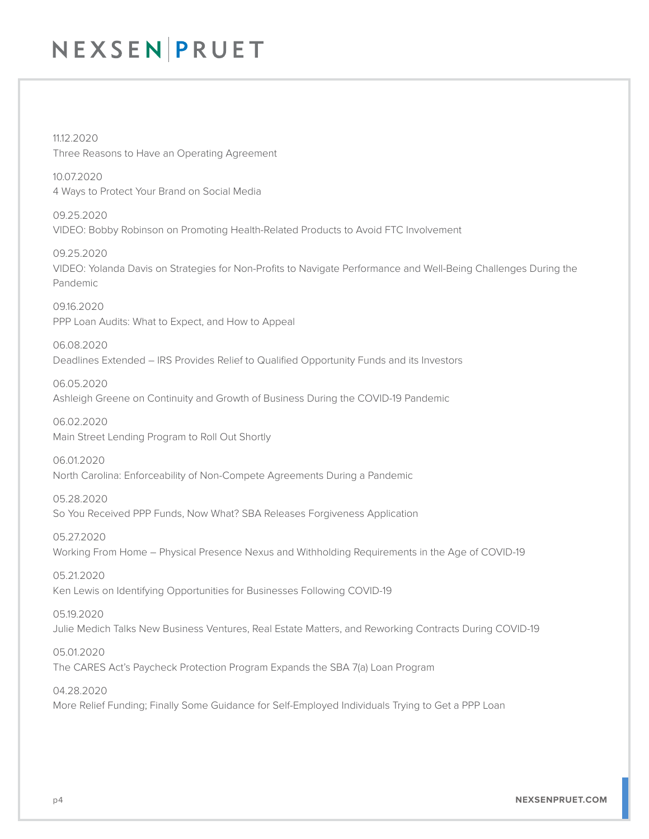11.12.2020 Three Reasons to Have an Operating Agreement

10.07.2020 4 Ways to Protect Your Brand on Social Media

09.25.2020 VIDEO: Bobby Robinson on Promoting Health-Related Products to Avoid FTC Involvement

09.25.2020 VIDEO: Yolanda Davis on Strategies for Non-Profits to Navigate Performance and Well-Being Challenges During the Pandemic

09.16.2020 PPP Loan Audits: What to Expect, and How to Appeal

06.08.2020 Deadlines Extended – IRS Provides Relief to Qualified Opportunity Funds and its Investors

06.05.2020 Ashleigh Greene on Continuity and Growth of Business During the COVID-19 Pandemic

06.02.2020 Main Street Lending Program to Roll Out Shortly

06.01.2020 North Carolina: Enforceability of Non-Compete Agreements During a Pandemic

05.28.2020 So You Received PPP Funds, Now What? SBA Releases Forgiveness Application

05.27.2020 Working From Home – Physical Presence Nexus and Withholding Requirements in the Age of COVID-19

05.21.2020 Ken Lewis on Identifying Opportunities for Businesses Following COVID-19

05.19.2020 Julie Medich Talks New Business Ventures, Real Estate Matters, and Reworking Contracts During COVID-19

05.01.2020 The CARES Act's Paycheck Protection Program Expands the SBA 7(a) Loan Program

04.28.2020 More Relief Funding; Finally Some Guidance for Self-Employed Individuals Trying to Get a PPP Loan